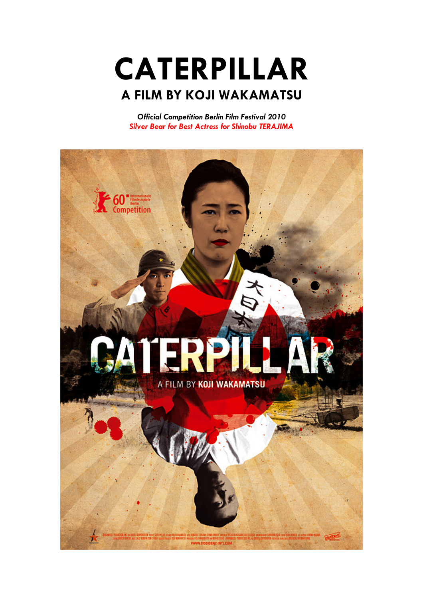CATERPILLAR A FILM BY KOJI WAKAMATSU

Official Competition Berlin Film Festival 2010 Silver Bear for Best Actress for Shinobu TERAJIMA

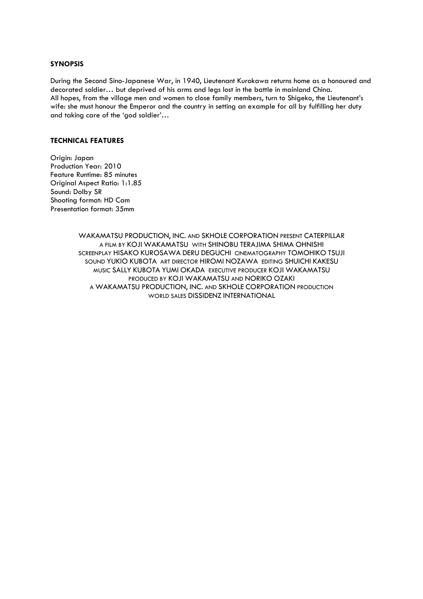# SYNOPSIS

During the Second Sino-Japanese War, in 1940, Lieutenant Kurokawa returns home as a honoured and decorated soldier… but deprived of his arms and legs lost in the battle in mainland China. All hopes, from the village men and women to close family members, turn to Shigeko, the Lieutenant's wife: she must honour the Emperor and the country in setting an example for all by fulfilling her duty and taking care of the 'god soldier'…

### TECHNICAL FEATURES

Origin: Japan Production Year: 2010 Feature Runtime: 85 minutes Original Aspect Ratio: 1:1.85 Sound: Dolby SR Shooting format: HD Cam Presentation format: 35mm

> WAKAMATSU PRODUCTION, INC. AND SKHOLE CORPORATION PRESENT CATERPILLAR A FILM BY KOJI WAKAMATSU WITH SHINOBU TERAJIMA SHIMA OHNISHI SCREENPLAY HISAKO KUROSAWA DERU DEGUCHI CINEMATOGRAPHY TOMOHIKO TSUJI SOUND YUKIO KUBOTA ART DIRECTOR HIROMI NOZAWA EDITING SHUICHI KAKESU MUSIC SALLY KUBOTA YUMI OKADA EXECUTIVE PRODUCER KOJI WAKAMATSU PRODUCED BY KOJI WAKAMATSU AND NORIKO OZAKI A WAKAMATSU PRODUCTION, INC. AND SKHOLE CORPORATION PRODUCTION WORLD SALES DISSIDENZ INTERNATIONAL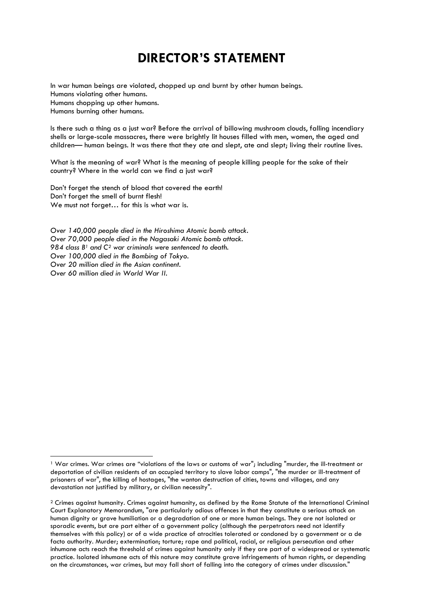# DIRECTOR'S STATEMENT

In war human beings are violated, chopped up and burnt by other human beings. Humans violating other humans. Humans chopping up other humans. Humans burning other humans.

Is there such a thing as a just war? Before the arrival of billowing mushroom clouds, falling incendiary shells or large-scale massacres, there were brightly lit houses filled with men, women, the aged and children— human beings. It was there that they ate and slept, ate and slept; living their routine lives.

What is the meaning of war? What is the meaning of people killing people for the sake of their country? Where in the world can we find a just war?

Don't forget the stench of blood that covered the earth! Don't forget the smell of burnt flesh! We must not forget… for this is what war is.

 $\overline{a}$ 

Over 140,000 people died in the Hiroshima Atomic bomb attack. Over 70,000 people died in the Nagasaki Atomic bomb attack. 984 class  $B<sup>1</sup>$  and  $C<sup>2</sup>$  war criminals were sentenced to death. Over 100,000 died in the Bombing of Tokyo. Over 20 million died in the Asian continent. Over 60 million died in World War II.

<sup>1</sup> War crimes. War crimes are "violations of the laws or customs of war"; including "murder, the ill-treatment or deportation of civilian residents of an occupied territory to slave labor camps", "the murder or ill-treatment of prisoners of war", the killing of hostages, "the wanton destruction of cities, towns and villages, and any devastation not justified by military, or civilian necessity".

 $2$  Crimes against humanity. Crimes against humanity, as defined by the Rome Statute of the International Criminal Court Explanatory Memorandum, "are particularly odious offences in that they constitute a serious attack on human dignity or grave humiliation or a degradation of one or more human beings. They are not isolated or sporadic events, but are part either of a government policy (although the perpetrators need not identify themselves with this policy) or of a wide practice of atrocities tolerated or condoned by a government or a de facto authority. Murder; extermination; torture; rape and political, racial, or religious persecution and other inhumane acts reach the threshold of crimes against humanity only if they are part of a widespread or systematic practice. Isolated inhumane acts of this nature may constitute grave infringements of human rights, or depending on the circumstances, war crimes, but may fall short of falling into the category of crimes under discussion."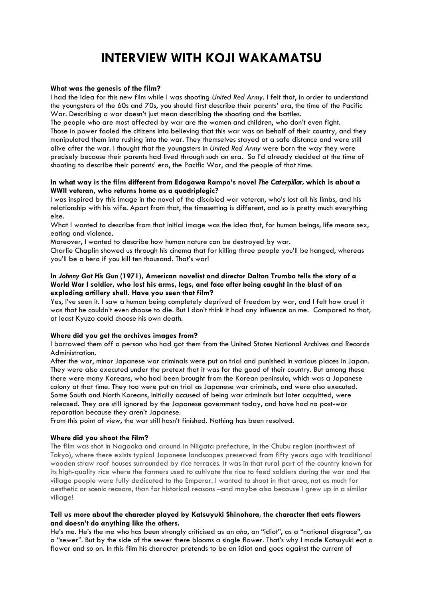# INTERVIEW WITH KOJI WAKAMATSU

#### What was the genesis of the film?

I had the idea for this new film while I was shooting United Red Army. I felt that, in order to understand the youngsters of the 60s and 70s, you should first describe their parents' era, the time of the Pacific War. Describing a war doesn't just mean describing the shooting and the battles.

The people who are most affected by war are the women and children, who don't even fight. Those in power fooled the citizens into believing that this war was on behalf of their country, and they manipulated them into rushing into the war. They themselves stayed at a safe distance and were still alive after the war. I thought that the youngsters in United Red Army were born the way they were precisely because their parents had lived through such an era. So I'd already decided at the time of shooting to describe their parents' era, the Pacific War, and the people of that time.

### In what way is the film different from Edogawa Rampo's novel The Caterpillar, which is about a WWII veteran, who returns home as a quadriplegic?

I was inspired by this image in the novel of the disabled war veteran, who's lost all his limbs, and his relationship with his wife. Apart from that, the timesetting is different, and so is pretty much everything else.

What I wanted to describe from that initial image was the idea that, for human beings, life means sex, eating and violence.

Moreover, I wanted to describe how human nature can be destroyed by war.

Charlie Chaplin showed us through his cinema that for killing three people you'll be hanged, whereas you'll be a hero if you kill ten thousand. That's war!

### In Johnny Got His Gun (1971), American novelist and director Dalton Trumbo tells the story of a World War I soldier, who lost his arms, legs, and face after being caught in the blast of an exploding artillery shell. Have you seen that film?

Yes, I've seen it. I saw a human being completely deprived of freedom by war, and I felt how cruel it was that he couldn't even choose to die. But I don't think it had any influence on me. Compared to that, at least Kyuzo could choose his own death.

#### Where did you get the archives images from?

I borrowed them off a person who had got them from the United States National Archives and Records Administration.

After the war, minor Japanese war criminals were put on trial and punished in various places in Japan. They were also executed under the pretext that it was for the good of their country. But among these there were many Koreans, who had been brought from the Korean peninsula, which was a Japanese colony at that time. They too were put on trial as Japanese war criminals, and were also executed. Some South and North Koreans, initially accused of being war criminals but later acquitted, were released. They are still ignored by the Japanese government today, and have had no post-war reparation because they aren't Japanese.

From this point of view, the war still hasn't finished. Nothing has been resolved.

#### Where did you shoot the film?

The film was shot in Nagaoka and around in Niigata prefecture, in the Chubu region (northwest of Tokyo), where there exists typical Japanese landscapes preserved from fifty years ago with traditional wooden straw roof houses surrounded by rice terraces. It was in that rural part of the country known for its high-quality rice where the farmers used to cultivate the rice to feed soldiers during the war and the village people were fully dedicated to the Emperor. I wanted to shoot in that area, not as much for aesthetic or scenic reasons, than for historical reasons –and maybe also because I grew up in a similar village!

#### Tell us more about the character played by Katsuyuki Shinohara, the character that eats flowers and doesn't do anything like the others.

He's me. He's the me who has been strongly criticised as an aho, an "idiot", as a "national disgrace", as a "sewer". But by the side of the sewer there blooms a single flower. That's why I made Katsuyuki eat a flower and so on. In this film his character pretends to be an idiot and goes against the current of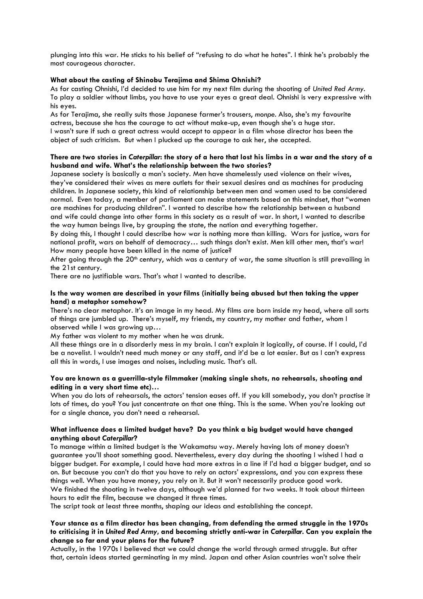plunging into this war. He sticks to his belief of "refusing to do what he hates". I think he's probably the most courageous character.

#### What about the casting of Shinobu Terajima and Shima Ohnishi?

As for casting Ohnishi, I'd decided to use him for my next film during the shooting of United Red Army. To play a soldier without limbs, you have to use your eyes a great deal. Ohnishi is very expressive with his eyes.

As for Terajima, she really suits those Japanese farmer's trousers, monpe. Also, she's my favourite actress, because she has the courage to act without make-up, even though she's a huge star. I wasn't sure if such a great actress would accept to appear in a film whose director has been the object of such criticism. But when I plucked up the courage to ask her, she accepted.

# There are two stories in Caterpillar: the story of a hero that lost his limbs in a war and the story of a husband and wife. What's the relationship between the two stories?

Japanese society is basically a man's society. Men have shamelessly used violence on their wives, they've considered their wives as mere outlets for their sexual desires and as machines for producing children. In Japanese society, this kind of relationship between men and women used to be considered normal. Even today, a member of parliament can make statements based on this mindset, that "women are machines for producing children". I wanted to describe how the relationship between a husband and wife could change into other forms in this society as a result of war. In short, I wanted to describe the way human beings live, by grouping the state, the nation and everything together.

By doing this, I thought I could describe how war is nothing more than killing. Wars for justice, wars for national profit, wars on behalf of democracy… such things don't exist. Men kill other men, that's war! How many people have been killed in the name of justice?

After going through the  $20<sup>th</sup>$  century, which was a century of war, the same situation is still prevailing in the 21st century.

There are no justifiable wars. That's what I wanted to describe.

# Is the way women are described in your films (initially being abused but then taking the upper hand) a metaphor somehow?

There's no clear metaphor. It's an image in my head. My films are born inside my head, where all sorts of things are jumbled up. There's myself, my friends, my country, my mother and father, whom I observed while I was growing up…

My father was violent to my mother when he was drunk.

All these things are in a disorderly mess in my brain. I can't explain it logically, of course. If I could, I'd be a novelist. I wouldn't need much money or any staff, and it'd be a lot easier. But as I can't express all this in words, I use images and noises, including music. That's all.

# You are known as a guerrilla-style filmmaker (making single shots, no rehearsals, shooting and editing in a very short time etc)…

When you do lots of rehearsals, the actors' tension eases off. If you kill somebody, you don't practise it lots of times, do you? You just concentrate on that one thing. This is the same. When you're looking out for a single chance, you don't need a rehearsal.

# What influence does a limited budget have? Do you think a big budget would have changed anything about Caterpillar?

To manage within a limited budget is the Wakamatsu way. Merely having lots of money doesn't guarantee you'll shoot something good. Nevertheless, every day during the shooting I wished I had a bigger budget. For example, I could have had more extras in a line if I'd had a bigger budget, and so on. But because you can't do that you have to rely on actors' expressions, and you can express these things well. When you have money, you rely on it. But it won't necessarily produce good work. We finished the shooting in twelve days, although we'd planned for two weeks. It took about thirteen hours to edit the film, because we changed it three times.

The script took at least three months, shaping our ideas and establishing the concept.

# Your stance as a film director has been changing, from defending the armed struggle in the 1970s to criticising it in United Red Army, and becoming strictly anti-war in Caterpillar. Can you explain the change so far and your plans for the future?

Actually, in the 1970s I believed that we could change the world through armed struggle. But after that, certain ideas started germinating in my mind. Japan and other Asian countries won't solve their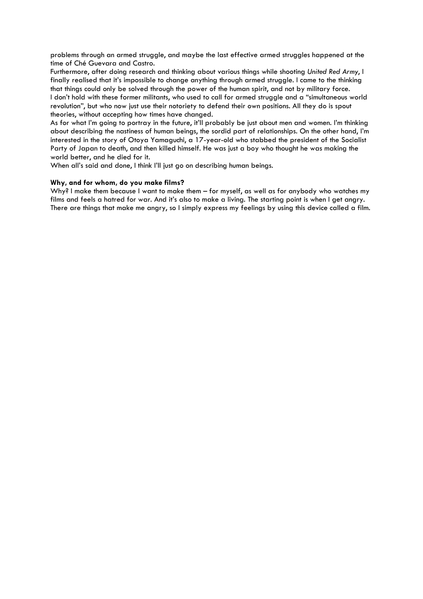problems through an armed struggle, and maybe the last effective armed struggles happened at the time of Ché Guevara and Castro.

Furthermore, after doing research and thinking about various things while shooting United Red Army, I finally realised that it's impossible to change anything through armed struggle. I came to the thinking that things could only be solved through the power of the human spirit, and not by military force. I don't hold with these former militants, who used to call for armed struggle and a "simultaneous world revolution", but who now just use their notoriety to defend their own positions. All they do is spout theories, without accepting how times have changed.

As for what I'm going to portray in the future, it'll probably be just about men and women. I'm thinking about describing the nastiness of human beings, the sordid part of relationships. On the other hand, I'm interested in the story of Otoya Yamaguchi, a 17-year-old who stabbed the president of the Socialist Party of Japan to death, and then killed himself. He was just a boy who thought he was making the world better, and he died for it.

When all's said and done, I think I'll just go on describing human beings.

# Why, and for whom, do you make films?

Why? I make them because I want to make them – for myself, as well as for anybody who watches my films and feels a hatred for war. And it's also to make a living. The starting point is when I get angry. There are things that make me angry, so I simply express my feelings by using this device called a film.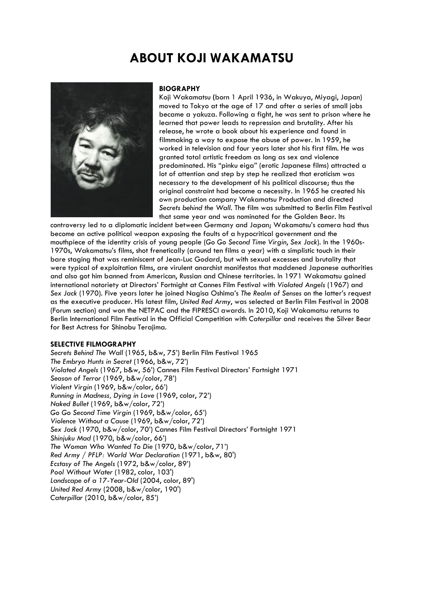# ABOUT KOJI WAKAMATSU



#### **BIOGRAPHY**

Koji Wakamatsu (born 1 April 1936, in Wakuya, Miyagi, Japan) moved to Tokyo at the age of 17 and after a series of small jobs became a yakuza. Following a fight, he was sent to prison where he learned that power leads to repression and brutality. After his release, he wrote a book about his experience and found in filmmaking a way to expose the abuse of power. In 1959, he worked in television and four years later shot his first film. He was granted total artistic freedom as long as sex and violence predominated. His "pinku eiga" (erotic Japanese films) attracted a lot of attention and step by step he realized that eroticism was necessary to the development of his political discourse; thus the original constraint had become a necessity. In 1965 he created his own production company Wakamatsu Production and directed Secrets behind the Wall. The film was submitted to Berlin Film Festival that same year and was nominated for the Golden Bear. Its

controversy led to a diplomatic incident between Germany and Japan; Wakamatsu's camera had thus become an active political weapon exposing the faults of a hypocritical government and the mouthpiece of the identity crisis of young people (Go Go Second Time Virgin, Sex Jack). In the 1960s-1970s, Wakamatsu's films, shot frenetically (around ten films a year) with a simplistic touch in their bare staging that was reminiscent of Jean-Luc Godard, but with sexual excesses and brutality that were typical of exploitation films, are virulent anarchist manifestos that maddened Japanese authorities and also got him banned from American, Russian and Chinese territories. In 1971 Wakamatsu gained international notoriety at Directors' Fortnight at Cannes Film Festival with Violated Angels (1967) and Sex Jack (1970). Five years later he joined Nagisa Oshima's The Realm of Senses on the latter's request as the executive producer. His latest film, United Red Army, was selected at Berlin Film Festival in 2008 (Forum section) and won the NETPAC and the FIPRESCI awards. In 2010, Koji Wakamatsu returns to Berlin International Film Festival in the Official Competition with Caterpillar and receives the Silver Bear for Best Actress for Shinobu Terajima.

#### SELECTIVE FILMOGRAPHY

Secrets Behind The Wall (1965, b&w, 75') Berlin Film Festival 1965 The Embryo Hunts in Secret (1966, b&w, 72') Violated Angels (1967, b&w, 56') Cannes Film Festival Directors' Fortnight 1971 Season of Terror (1969, b&w/color, 78') Violent Virgin (1969, b&w/color, 66') Running in Madness, Dying in Love (1969, color, 72') Naked Bullet (1969, b&w/color, 72') Go Go Second Time Virgin (1969, b&w/color, 65') Violence Without a Cause (1969, b&w/color, 72') Sex Jack (1970, b&w/color, 70') Cannes Film Festival Directors' Fortnight 1971 Shinjuku Mad (1970, b&w/color, 66') The Woman Who Wanted To Die (1970, b&w/color, 71') Red Army / PFLP: World War Declaration (1971, b&w, 80') Ecstasy of The Angels (1972, b&w/color, 89') Pool Without Water (1982, color, 103') Landscape of a 17-Year-Old (2004, color, 89') United Red Army (2008, b&w/color, 190') Caterpillar (2010, b&w/color, 85')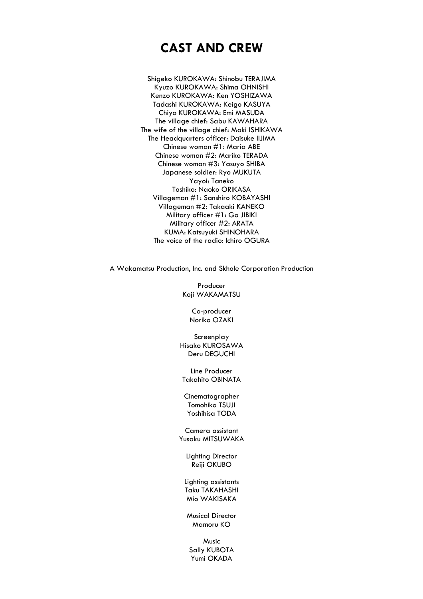# CAST AND CREW

Shigeko KUROKAWA: Shinobu TERAJIMA Kyuzo KUROKAWA: Shima OHNISHI Kenzo KUROKAWA: Ken YOSHIZAWA Tadashi KUROKAWA: Keigo KASUYA Chiyo KUROKAWA: Emi MASUDA The village chief: Sabu KAWAHARA The wife of the village chief: Maki ISHIKAWA The Headquarters officer: Daisuke IIJIMA Chinese woman #1: Maria ABE Chinese woman #2: Mariko TERADA Chinese woman #3: Yasuyo SHIBA Japanese soldier: Ryo MUKUTA Yayoi: Taneko Toshiko: Naoko ORIKASA Villageman #1: Sanshiro KOBAYASHI Villageman #2: Takaaki KANEKO Military officer #1: Go JIBIKI Military officer #2: ARATA KUMA: Katsuyuki SHINOHARA The voice of the radio: Ichiro OGURA

A Wakamatsu Production, Inc. and Skhole Corporation Production

Producer Koji WAKAMATSU

> Co-producer Noriko OZAKI

Screenplay Hisako KUROSAWA Deru DEGUCHI

Line Producer Takahito OBINATA

Cinematographer Tomohiko TSUJI Yoshihisa TODA

Camera assistant Yusaku MITSUWAKA

Lighting Director Reiji OKUBO

Lighting assistants Taku TAKAHASHI Mio WAKISAKA

Musical Director Mamoru KO

Music Sally KUBOTA Yumi OKADA